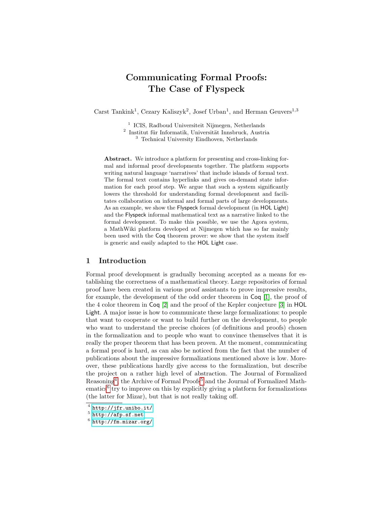# Communicating Formal Proofs: The Case of Flyspeck

Carst Tankink<sup>1</sup>, Cezary Kaliszyk<sup>2</sup>, Josef Urban<sup>1</sup>, and Herman Geuvers<sup>1,3</sup>

<sup>1</sup> ICIS, Radboud Universiteit Nijmegen, Netherlands

<sup>2</sup> Institut für Informatik, Universität Innsbruck, Austria

<sup>3</sup> Technical University Eindhoven, Netherlands

Abstract. We introduce a platform for presenting and cross-linking formal and informal proof developments together. The platform supports writing natural language 'narratives' that include islands of formal text. The formal text contains hyperlinks and gives on-demand state information for each proof step. We argue that such a system significantly lowers the threshold for understanding formal development and facilitates collaboration on informal and formal parts of large developments. As an example, we show the Flyspeck formal development (in HOL Light) and the Flyspeck informal mathematical text as a narrative linked to the formal development. To make this possible, we use the Agora system, a MathWiki platform developed at Nijmegen which has so far mainly been used with the Coq theorem prover: we show that the system itself is generic and easily adapted to the HOL Light case.

### 1 Introduction

Formal proof development is gradually becoming accepted as a means for establishing the correctness of a mathematical theory. Large repositories of formal proof have been created in various proof assistants to prove impressive results, for example, the development of the odd order theorem in Coq [\[1\]](#page-4-0), the proof of the 4 color theorem in Coq [\[2\]](#page-5-0) and the proof of the Kepler conjecture [\[3\]](#page-5-1) in HOL Light. A major issue is how to communicate these large formalizations: to people that want to cooperate or want to build further on the development, to people who want to understand the precise choices (of definitions and proofs) chosen in the formalization and to people who want to convince themselves that it is really the proper theorem that has been proven. At the moment, communicating a formal proof is hard, as can also be noticed from the fact that the number of publications about the impressive formalizations mentioned above is low. Moreover, these publications hardly give access to the formalization, but describe the project on a rather high level of abstraction. The Journal of Formalized Reasoning<sup>[4](#page-0-0)</sup>, the Archive of Formal Proofs<sup>[5](#page-0-1)</sup> and the Journal of Formalized Math-ematics<sup>[6](#page-0-2)</sup> try to improve on this by explicitly giving a platform for formalizations (the latter for Mizar), but that is not really taking off.

<span id="page-0-0"></span> $^4$  <http://jfr.unibo.it/>

<span id="page-0-1"></span> $^5$  <http://afp.sf.net>

<span id="page-0-2"></span> $^6$  <http://fm.mizar.org/>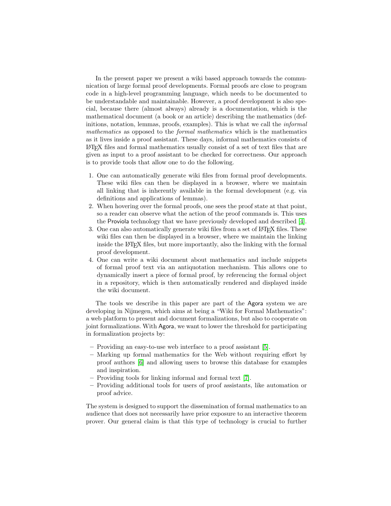In the present paper we present a wiki based approach towards the communication of large formal proof developments. Formal proofs are close to program code in a high-level programming language, which needs to be documented to be understandable and maintainable. However, a proof development is also special, because there (almost always) already is a documentation, which is the mathematical document (a book or an article) describing the mathematics (definitions, notation, lemmas, proofs, examples). This is what we call the informal mathematics as opposed to the formal mathematics which is the mathematics as it lives inside a proof assistant. These days, informal mathematics consists of LATEX files and formal mathematics usually consist of a set of text files that are given as input to a proof assistant to be checked for correctness. Our approach is to provide tools that allow one to do the following.

- 1. One can automatically generate wiki files from formal proof developments. These wiki files can then be displayed in a browser, where we maintain all linking that is inherently available in the formal development (e.g. via definitions and applications of lemmas).
- 2. When hovering over the formal proofs, one sees the proof state at that point, so a reader can observe what the action of the proof commands is. This uses the Proviola technology that we have previously developed and described [\[4\]](#page-5-2).
- 3. One can also automatically generate wiki files from a set of L<sup>AT</sup>EX files. These wiki files can then be displayed in a browser, where we maintain the linking inside the LATEX files, but more importantly, also the linking with the formal proof development.
- 4. One can write a wiki document about mathematics and include snippets of formal proof text via an antiquotation mechanism. This allows one to dynamically insert a piece of formal proof, by referencing the formal object in a repository, which is then automatically rendered and displayed inside the wiki document.

The tools we describe in this paper are part of the Agora system we are developing in Nijmegen, which aims at being a "Wiki for Formal Mathematics": a web platform to present and document formalizations, but also to cooperate on joint formalizations. With Agora, we want to lower the threshold for participating in formalization projects by:

- Providing an easy-to-use web interface to a proof assistant [\[5\]](#page-5-3).
- Marking up formal mathematics for the Web without requiring effort by proof authors [\[6\]](#page-5-4) and allowing users to browse this database for examples and inspiration.
- Providing tools for linking informal and formal text [\[7\]](#page-5-5).
- Providing additional tools for users of proof assistants, like automation or proof advice.

The system is designed to support the dissemination of formal mathematics to an audience that does not necessarily have prior exposure to an interactive theorem prover. Our general claim is that this type of technology is crucial to further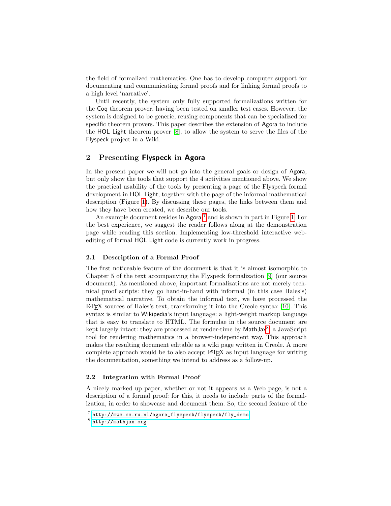the field of formalized mathematics. One has to develop computer support for documenting and communicating formal proofs and for linking formal proofs to a high level 'narrative'.

Until recently, the system only fully supported formalizations written for the Coq theorem prover, having been tested on smaller test cases. However, the system is designed to be generic, reusing components that can be specialized for specific theorem provers. This paper describes the extension of Agora to include the HOL Light theorem prover [\[8\]](#page-5-6), to allow the system to serve the files of the Flyspeck project in a Wiki.

## 2 Presenting Flyspeck in Agora

In the present paper we will not go into the general goals or design of Agora, but only show the tools that support the 4 activities mentioned above. We show the practical usability of the tools by presenting a page of the Flyspeck formal development in HOL Light, together with the page of the informal mathematical description (Figure [1\)](#page-3-0). By discussing these pages, the links between them and how they have been created, we describe our tools.

An example document resides in Agora,<sup>[7](#page-2-0)</sup> and is shown in part in Figure [1.](#page-3-0) For the best experience, we suggest the reader follows along at the demonstration page while reading this section. Implementing low-threshold interactive webediting of formal HOL Light code is currently work in progress.

#### 2.1 Description of a Formal Proof

The first noticeable feature of the document is that it is almost isomorphic to Chapter 5 of the text accompanying the Flyspeck formalization [\[9\]](#page-5-7) (our source document). As mentioned above, important formalizations are not merely technical proof scripts: they go hand-in-hand with informal (in this case Hales's) mathematical narrative. To obtain the informal text, we have processed the  $\Delta E$ <sub>TEX</sub> sources of Hales's text, transforming it into the Creole syntax [\[10\]](#page-5-8). This syntax is similar to Wikipedia's input language: a light-weight markup language that is easy to translate to HTML. The formulae in the source document are kept largely intact: they are processed at render-time by MathJax<sup>[8](#page-2-1)</sup>: a JavaScript tool for rendering mathematics in a browser-independent way. This approach makes the resulting document editable as a wiki page written in Creole. A more complete approach would be to also accept LATEX as input language for writing the documentation, something we intend to address as a follow-up.

#### 2.2 Integration with Formal Proof

A nicely marked up paper, whether or not it appears as a Web page, is not a description of a formal proof: for this, it needs to include parts of the formalization, in order to showcase and document them. So, the second feature of the

<span id="page-2-0"></span><sup>7</sup> [http://mws.cs.ru.nl/agora\\_flyspeck/flyspeck/fly\\_demo](http://mws.cs.ru.nl/agora_flyspeck/flyspeck/fly_demo)

<span id="page-2-1"></span><sup>8</sup> <http://mathjax.org>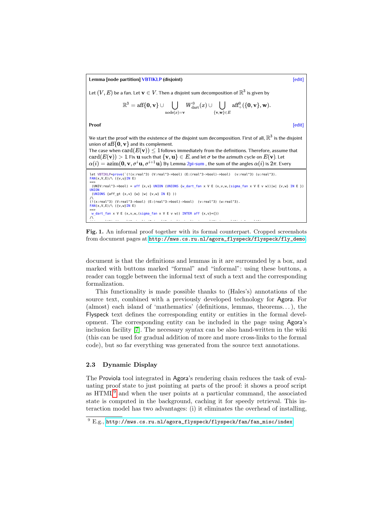**Lemma [node partition] VBTIKLP (disjoint)**

[edit] Let  $(V,E)$  be a fan. Let  $\mathbf{v}\in V.$  Then a disjoint sum decomposition of  $\mathbb{R}^3$  is given by **Proof** We start the proof with the existence of the disjoint sum decomposition. First of all,  $\mathbb{R}^3$  is the disjoint union of  $\operatorname{aff}\nolimits \{ \mathbf{0}, \mathbf{v} \}$  and its complement. The case when  $\mathrm{card}(E(\mathbf{v}))\leq 1$  follows immediately from the definitions. Therefore, assume that  ${\rm card}(E({\bf v}))>1$  Fix  ${\bf u}$  such that  $\{{\bf v},{\bf u}\}\in E$ , and let  $\sigma$  be the azimuth cycle on  $E({\bf v})$ . Let  $\alpha(i)=\text{azim}(\bm{0},\mathbf{v},\sigma^i\mathbf{u},\sigma^{i+1}\mathbf{u})$  By Lemma 2pi-sum , the sum of the angles  $\alpha(i)$  is  $2\pi$ . Every  $\mathbb{R}^3 = \text{aff}\{\mathbf{0},\mathbf{v}\} \cup \quad \Big[ \begin{array}{ccc} \end{array} \Big] \quad W_\text{dart}^0(x) \cup \quad \Big[ \begin{array}{ccc} \end{array} \Big] \quad \text{aff}_+^0(\{\mathbf{0},\mathbf{v}\},\mathbf{w}).$  $\mathrm{node}(x)$ =v  $W_{\rm dart}^0(x)\cup \bigcup_{\substack{\{\mathbf{v},\mathbf{w}\}\in E}}$  $\mathrm{aff}^0_+$  ( let VBTIKLP=prove(`(!(x:real^3) (V:real^3->bool) (E:(real^3->bool) ->bool) (v:real^3) (u:real^3).

[edit]

} UNIUN (UNIUNS {w\_dart\_†an x V E (x,v,w,(sigma\_†a  $\frac{1}{2}$  (UNIONS {aff\_gt {x,v} {w} |w| {v,w} IN E} )) ,w,∖<mark>>⊥</mark>y ==><br>(UNIV:real^3->bool) = aff {x,v} UNION (UNIONS {w\_dart\_fan x V E (x,v,w,(sigma\_fan x V E v w))|w| {v,w} IN E }) α (i) = azim(o, v, u, p) = azim(o, u, p) = azim(o, u, p) = azim(o, u, p) = azim(o, u, p) = azim(o, u, p) = azi<br>(o, u, p) = azim(o, u, p) = azim(o, u, p) = azim(o, u, p) = azim(o, u, p) = azim(o, u, p) = azim(o, u, p) = a j ==> w\_dart\_fan x V E (x,v,w,(sigma\_fan x V E v w)) INTER aff {x,v}={})  $FAN(x,V,E)/\setminus$   $({v,u}$ IN E) UNION /\ (!(x:real^3) (V:real^3->bool) (E:(real^3->bool)->bool) (v:real^3) (w:real^3). FAN(x,V,E)/\ ({v,w}IN E) /\  $\frac{\partial V}{\partial\sigma}$  (V:real  $\frac{\partial V}{\partial\sigma}$  ) (V:real  $\frac{\partial V}{\partial\sigma}$  (v) (v) (v) (v) (v) (wireal  $\frac{\partial V}{\partial\sigma}$ 

<span id="page-3-0"></span>Fig. 1. An informal proof together with its formal counterpart. Cropped screenshots from document pages at [http://mws.cs.ru.nl/agora\\_flyspeck/flyspeck/fly\\_demo](http://mws.cs.ru.nl/agora_flyspeck/flyspeck/fly_demo).

document is that the definitions and lemmas in it are surrounded by a box, and marked with buttons marked "formal" and "informal": using these buttons, a reader can toggle between the informal text of such a text and the corresponding formalization.

This functionality is made possible thanks to (Hales's) annotations of the source text, combined with a previously developed technology for Agora. For (almost) each island of 'mathematics' (definitions, lemmas, theorems. . . ), the Flyspeck text defines the corresponding entity or entities in the formal development. The corresponding entity can be included in the page using Agora's inclusion facility [\[7\]](#page-5-5). The necessary syntax can be also hand-written in the wiki (this can be used for gradual addition of more and more cross-links to the formal code), but so far everything was generated from the source text annotations.

#### 2.3 Dynamic Display

The Proviola tool integrated in Agora's rendering chain reduces the task of evaluating proof state to just pointing at parts of the proof: it shows a proof script as HTML[9](#page-3-1) and when the user points at a particular command, the associated state is computed in the background, caching it for speedy retrieval. This interaction model has two advantages: (i) it eliminates the overhead of installing,

<span id="page-3-1"></span> $9$  E.g., [http://mws.cs.ru.nl/agora\\_flyspeck/flyspeck/fan/fan\\_misc/index](http://mws.cs.ru.nl/agora_flyspeck/flyspeck/fan/fan_misc/index)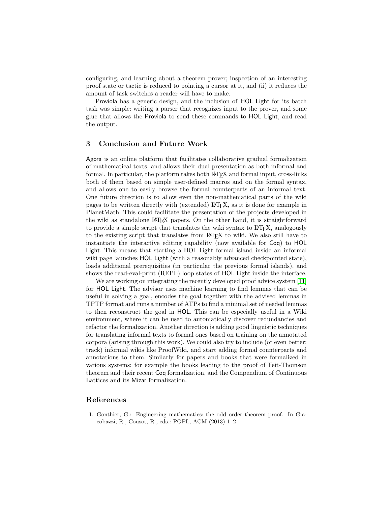configuring, and learning about a theorem prover; inspection of an interesting proof state or tactic is reduced to pointing a cursor at it, and (ii) it reduces the amount of task switches a reader will have to make.

Proviola has a generic design, and the inclusion of HOL Light for its batch task was simple: writing a parser that recognizes input to the prover, and some glue that allows the Proviola to send these commands to HOL Light, and read the output.

## 3 Conclusion and Future Work

Agora is an online platform that facilitates collaborative gradual formalization of mathematical texts, and allows their dual presentation as both informal and formal. In particular, the platform takes both L<sup>AT</sup>FX and formal input, cross-links both of them based on simple user-defined macros and on the formal syntax, and allows one to easily browse the formal counterparts of an informal text. One future direction is to allow even the non-mathematical parts of the wiki pages to be written directly with (extended) LATEX, as it is done for example in PlanetMath. This could facilitate the presentation of the projects developed in the wiki as standalone LATEX papers. On the other hand, it is straightforward to provide a simple script that translates the wiki syntax to L<sup>AT</sup>EX, analogously to the existing script that translates from LATEX to wiki. We also still have to instantiate the interactive editing capability (now available for Coq) to HOL Light. This means that starting a HOL Light formal island inside an informal wiki page launches HOL Light (with a reasonably advanced checkpointed state), loads additional prerequisities (in particular the previous formal islands), and shows the read-eval-print (REPL) loop states of HOL Light inside the interface.

We are working on integrating the recently developed proof advice system [\[11\]](#page-5-9) for HOL Light. The advisor uses machine learning to find lemmas that can be useful in solving a goal, encodes the goal together with the advised lemmas in TPTP format and runs a number of ATPs to find a minimal set of needed lemmas to then reconstruct the goal in HOL. This can be especially useful in a Wiki environment, where it can be used to automatically discover redundancies and refactor the formalization. Another direction is adding good linguistic techniques for translating informal texts to formal ones based on training on the annotated corpora (arising through this work). We could also try to include (or even better: track) informal wikis like ProofWiki, and start adding formal counterparts and annotations to them. Similarly for papers and books that were formalized in various systems: for example the books leading to the proof of Feit-Thomson theorem and their recent Coq formalization, and the Compendium of Continuous Lattices and its Mizar formalization.

## References

<span id="page-4-0"></span>1. Gonthier, G.: Engineering mathematics: the odd order theorem proof. In Giacobazzi, R., Cousot, R., eds.: POPL, ACM (2013) 1–2